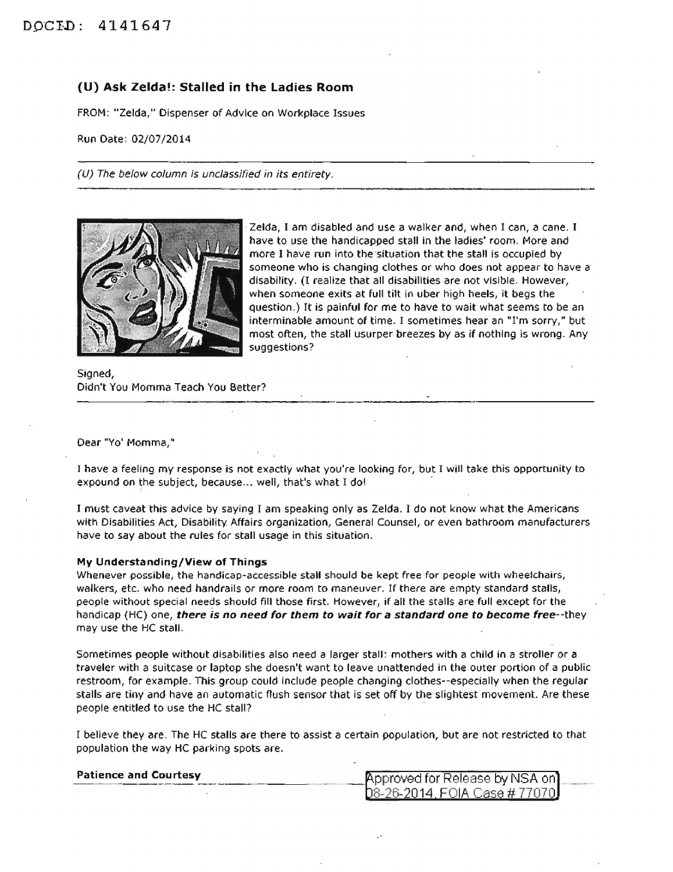## **(U) Ask** Zelda~: **Stalled in the Ladies Room**

FROM: "Zelda," Dispenser of Advice on Workplace Issues

Run Date: 02/07/2014

(U) The below column is unclassified in its entirety.



Zelda, I am disabled and use a walker and, when I can, a cane. I have to use the handicapped stall in the ladies' room. More and more I have run into the situation that the stall is occupied by someone who is changing clothes or who does not appear to have a disability. (I realize that all disabilities are not visible. However, when someone exits at full tilt in uber high heels, it begs the question.) It is painful for me to have to wait what seems to be an interminable amount of time. I sometimes hear an "I'm sorry," but most often, the stall usurper breezes by as if nothing is wrong. Any suggestions?

Signed, Didn't You Momma Teach You Better?

Dear "Yo' Momma,"

I have a feeling my response is not exactly what you're looking for, but I will take this opportunity to expound on the subject, because... well, that's what I do!

I must caveat this advice by saying I am speaking only as Zelda. I do not know what the Americans with Disabilities Act, Disability Affairs organization, General Counsel, or even bathroom manufacturers have to say about the rules for stall usage in this situation.

## **My Understanding/View of Things**

Whenever possible, the handicap-accessible stall should be kept free for people with wheelchairs, walkers, etc. who need handrails or more room to maneuver. If there are empty standard stalls, people without special needs should fill those first. However, if all the stalls are full except for the handicap (HC) one, **there is no need for them to wait for a standard one to become** free--they may use the HC stall.

Sometimes people without disabilities also need a larger stall: mothers with a child in a stroller or *a*  traveler with a suitcase or laptop she doesn't want to leave unattended in the outer portion of a public restroom, for example. This group could include people changing clothes--especially when the regular stalls are tiny and have an automatic flush sensor that is set off by the slightest movement. Are these people entitled to use the HC stall?

I believe they are. The HC stalls are there to assist a certain population, but are not restricted to that population the way HC parking spots are.

| <b>Patience and Courtesy</b> | <b>Approved for Release by NSA on</b> |  |
|------------------------------|---------------------------------------|--|
|                              | D8-26-2014, FOIA Case # 77070J        |  |